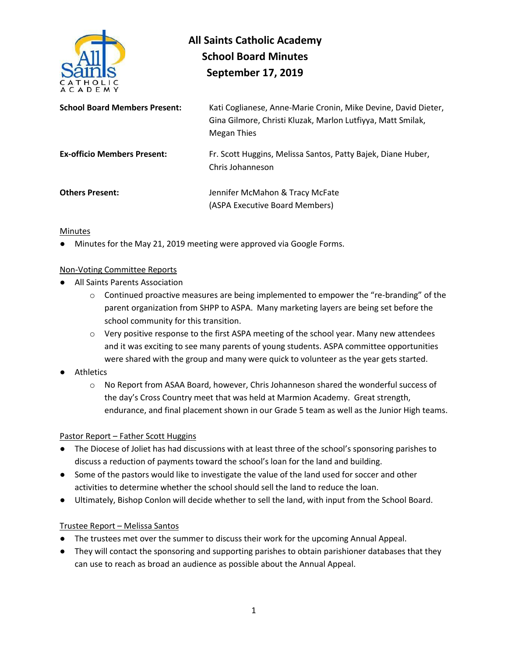

# **All Saints Catholic Academy School Board Minutes September 17, 2019**

| <b>School Board Members Present:</b> | Kati Coglianese, Anne-Marie Cronin, Mike Devine, David Dieter,<br>Gina Gilmore, Christi Kluzak, Marlon Lutfiyya, Matt Smilak,<br>Megan Thies |
|--------------------------------------|----------------------------------------------------------------------------------------------------------------------------------------------|
| <b>Ex-officio Members Present:</b>   | Fr. Scott Huggins, Melissa Santos, Patty Bajek, Diane Huber,<br>Chris Johanneson                                                             |
| <b>Others Present:</b>               | Jennifer McMahon & Tracy McFate<br>(ASPA Executive Board Members)                                                                            |

### Minutes

Minutes for the May 21, 2019 meeting were approved via Google Forms.

## Non-Voting Committee Reports

- All Saints Parents Association
	- $\circ$  Continued proactive measures are being implemented to empower the "re-branding" of the parent organization from SHPP to ASPA. Many marketing layers are being set before the school community for this transition.
	- $\circ$  Very positive response to the first ASPA meeting of the school year. Many new attendees and it was exciting to see many parents of young students. ASPA committee opportunities were shared with the group and many were quick to volunteer as the year gets started.
- Athletics
	- o No Report from ASAA Board, however, Chris Johanneson shared the wonderful success of the day's Cross Country meet that was held at Marmion Academy. Great strength, endurance, and final placement shown in our Grade 5 team as well as the Junior High teams.

#### Pastor Report – Father Scott Huggins

- The Diocese of Joliet has had discussions with at least three of the school's sponsoring parishes to discuss a reduction of payments toward the school's loan for the land and building.
- Some of the pastors would like to investigate the value of the land used for soccer and other activities to determine whether the school should sell the land to reduce the loan.
- Ultimately, Bishop Conlon will decide whether to sell the land, with input from the School Board.

#### Trustee Report – Melissa Santos

- The trustees met over the summer to discuss their work for the upcoming Annual Appeal.
- They will contact the sponsoring and supporting parishes to obtain parishioner databases that they can use to reach as broad an audience as possible about the Annual Appeal.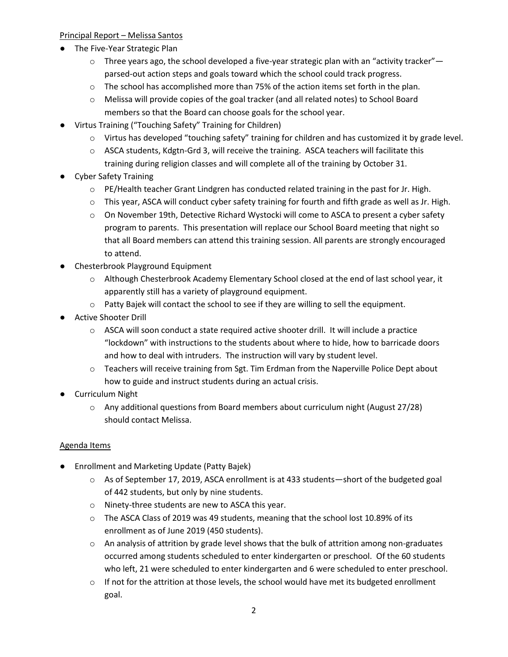## Principal Report – Melissa Santos

- The Five-Year Strategic Plan
	- $\circ$  Three years ago, the school developed a five-year strategic plan with an "activity tracker" parsed-out action steps and goals toward which the school could track progress.
	- o The school has accomplished more than 75% of the action items set forth in the plan.
	- o Melissa will provide copies of the goal tracker (and all related notes) to School Board members so that the Board can choose goals for the school year.
- Virtus Training ("Touching Safety" Training for Children)
	- o Virtus has developed "touching safety" training for children and has customized it by grade level.
	- o ASCA students, Kdgtn-Grd 3, will receive the training. ASCA teachers will facilitate this training during religion classes and will complete all of the training by October 31.
- Cyber Safety Training
	- $\circ$  PE/Health teacher Grant Lindgren has conducted related training in the past for Jr. High.
	- $\circ$  This year, ASCA will conduct cyber safety training for fourth and fifth grade as well as Jr. High.
	- o On November 19th, Detective Richard Wystocki will come to ASCA to present a cyber safety program to parents. This presentation will replace our School Board meeting that night so that all Board members can attend this training session. All parents are strongly encouraged to attend.
- Chesterbrook Playground Equipment
	- o Although Chesterbrook Academy Elementary School closed at the end of last school year, it apparently still has a variety of playground equipment.
	- o Patty Bajek will contact the school to see if they are willing to sell the equipment.
- Active Shooter Drill
	- $\circ$  ASCA will soon conduct a state required active shooter drill. It will include a practice "lockdown" with instructions to the students about where to hide, how to barricade doors and how to deal with intruders. The instruction will vary by student level.
	- o Teachers will receive training from Sgt. Tim Erdman from the Naperville Police Dept about how to guide and instruct students during an actual crisis.
- Curriculum Night
	- $\circ$  Any additional questions from Board members about curriculum night (August 27/28) should contact Melissa.

## Agenda Items

- **Enrollment and Marketing Update (Patty Bajek)** 
	- $\circ$  As of September 17, 2019, ASCA enrollment is at 433 students—short of the budgeted goal of 442 students, but only by nine students.
	- o Ninety-three students are new to ASCA this year.
	- o The ASCA Class of 2019 was 49 students, meaning that the school lost 10.89% of its enrollment as of June 2019 (450 students).
	- $\circ$  An analysis of attrition by grade level shows that the bulk of attrition among non-graduates occurred among students scheduled to enter kindergarten or preschool. Of the 60 students who left, 21 were scheduled to enter kindergarten and 6 were scheduled to enter preschool.
	- $\circ$  If not for the attrition at those levels, the school would have met its budgeted enrollment goal.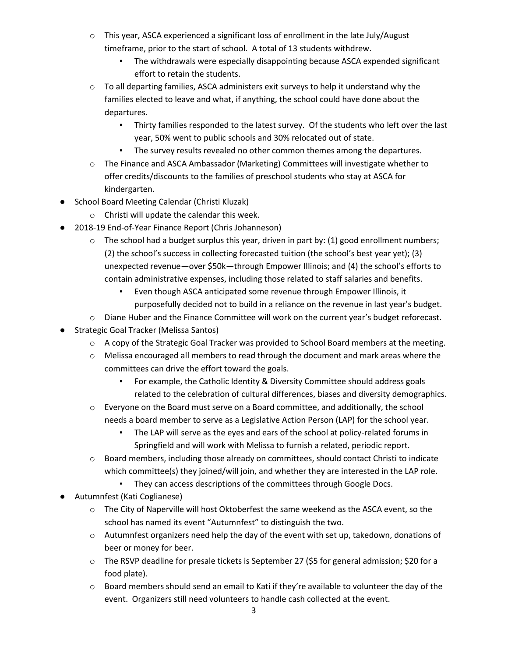- $\circ$  This year, ASCA experienced a significant loss of enrollment in the late July/August timeframe, prior to the start of school. A total of 13 students withdrew.
	- The withdrawals were especially disappointing because ASCA expended significant effort to retain the students.
- $\circ$  To all departing families, ASCA administers exit surveys to help it understand why the families elected to leave and what, if anything, the school could have done about the departures.
	- Thirty families responded to the latest survey. Of the students who left over the last year, 50% went to public schools and 30% relocated out of state.
	- The survey results revealed no other common themes among the departures.
- o The Finance and ASCA Ambassador (Marketing) Committees will investigate whether to offer credits/discounts to the families of preschool students who stay at ASCA for kindergarten.
- School Board Meeting Calendar (Christi Kluzak)
	- o Christi will update the calendar this week.
- 2018-19 End-of-Year Finance Report (Chris Johanneson)
	- $\circ$  The school had a budget surplus this year, driven in part by: (1) good enrollment numbers; (2) the school's success in collecting forecasted tuition (the school's best year yet); (3) unexpected revenue—over \$50k—through Empower Illinois; and (4) the school's efforts to contain administrative expenses, including those related to staff salaries and benefits.
		- Even though ASCA anticipated some revenue through Empower Illinois, it purposefully decided not to build in a reliance on the revenue in last year's budget.
	- o Diane Huber and the Finance Committee will work on the current year's budget reforecast.
- Strategic Goal Tracker (Melissa Santos)
	- $\circ$  A copy of the Strategic Goal Tracker was provided to School Board members at the meeting.
	- o Melissa encouraged all members to read through the document and mark areas where the committees can drive the effort toward the goals.
		- For example, the Catholic Identity & Diversity Committee should address goals related to the celebration of cultural differences, biases and diversity demographics.
	- $\circ$  Everyone on the Board must serve on a Board committee, and additionally, the school needs a board member to serve as a Legislative Action Person (LAP) for the school year.
		- The LAP will serve as the eyes and ears of the school at policy-related forums in Springfield and will work with Melissa to furnish a related, periodic report.
	- o Board members, including those already on committees, should contact Christi to indicate which committee(s) they joined/will join, and whether they are interested in the LAP role.
		- They can access descriptions of the committees through Google Docs.
- Autumnfest (Kati Coglianese)
	- $\circ$  The City of Naperville will host Oktoberfest the same weekend as the ASCA event, so the school has named its event "Autumnfest" to distinguish the two.
	- o Autumnfest organizers need help the day of the event with set up, takedown, donations of beer or money for beer.
	- o The RSVP deadline for presale tickets is September 27 (\$5 for general admission; \$20 for a food plate).
	- $\circ$  Board members should send an email to Kati if they're available to volunteer the day of the event. Organizers still need volunteers to handle cash collected at the event.